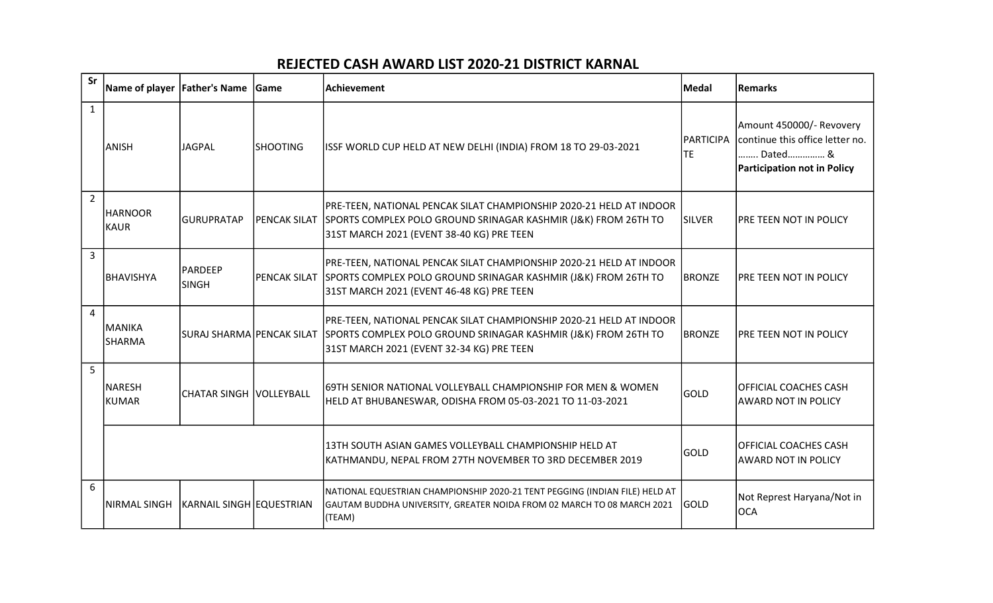## REJECTED CASH AWARD LIST 2020-21 DISTRICT KARNAL

| Sr             | Name of player          | <b>Father's Name</b>           | Game                | Achievement                                                                                                                                                                        | <b>Medal</b>                  | Remarks                                                                                               |
|----------------|-------------------------|--------------------------------|---------------------|------------------------------------------------------------------------------------------------------------------------------------------------------------------------------------|-------------------------------|-------------------------------------------------------------------------------------------------------|
| $\mathbf{1}$   | <b>ANISH</b>            | JAGPAL                         | <b>SHOOTING</b>     | ISSF WORLD CUP HELD AT NEW DELHI (INDIA) FROM 18 TO 29-03-2021                                                                                                                     | <b>PARTICIPA</b><br><b>TE</b> | Amount 450000/- Revovery<br>continue this office letter no.<br>Dated &<br>Participation not in Policy |
| $\overline{2}$ | <b>HARNOOR</b><br>KAUR  | <b>GURUPRATAP</b>              | <b>PENCAK SILAT</b> | PRE-TEEN, NATIONAL PENCAK SILAT CHAMPIONSHIP 2020-21 HELD AT INDOOR<br>SPORTS COMPLEX POLO GROUND SRINAGAR KASHMIR (J&K) FROM 26TH TO<br>31ST MARCH 2021 (EVENT 38-40 KG) PRE TEEN | SILVER                        | <b>PRE TEEN NOT IN POLICY</b>                                                                         |
| $\overline{3}$ | BHAVISHYA               | <b>PARDEEP</b><br><b>SINGH</b> | <b>PENCAK SILAT</b> | PRE-TEEN, NATIONAL PENCAK SILAT CHAMPIONSHIP 2020-21 HELD AT INDOOR<br>SPORTS COMPLEX POLO GROUND SRINAGAR KASHMIR (J&K) FROM 26TH TO<br>31ST MARCH 2021 (EVENT 46-48 KG) PRE TEEN | <b>BRONZE</b>                 | PRE TEEN NOT IN POLICY                                                                                |
| 4              | MANIKA<br><b>SHARMA</b> | SURAJ SHARMA PENCAK SILAT      |                     | PRE-TEEN, NATIONAL PENCAK SILAT CHAMPIONSHIP 2020-21 HELD AT INDOOR<br>SPORTS COMPLEX POLO GROUND SRINAGAR KASHMIR (J&K) FROM 26TH TO<br>31ST MARCH 2021 (EVENT 32-34 KG) PRE TEEN | <b>BRONZE</b>                 | <b>PRE TEEN NOT IN POLICY</b>                                                                         |
| 5              | NARESH<br>KUMAR         | <b>CHATAR SINGH VOLLEYBALL</b> |                     | 69TH SENIOR NATIONAL VOLLEYBALL CHAMPIONSHIP FOR MEN & WOMEN<br>HELD AT BHUBANESWAR, ODISHA FROM 05-03-2021 TO 11-03-2021                                                          | <b>GOLD</b>                   | OFFICIAL COACHES CASH<br><b>AWARD NOT IN POLICY</b>                                                   |
|                |                         |                                |                     | 13TH SOUTH ASIAN GAMES VOLLEYBALL CHAMPIONSHIP HELD AT<br>KATHMANDU, NEPAL FROM 27TH NOVEMBER TO 3RD DECEMBER 2019                                                                 | <b>GOLD</b>                   | <b>OFFICIAL COACHES CASH</b><br><b>AWARD NOT IN POLICY</b>                                            |
| 6              | NIRMAL SINGH            | KARNAIL SINGH EQUESTRIAN       |                     | NATIONAL EQUESTRIAN CHAMPIONSHIP 2020-21 TENT PEGGING (INDIAN FILE) HELD AT<br>GAUTAM BUDDHA UNIVERSITY, GREATER NOIDA FROM 02 MARCH TO 08 MARCH 2021<br>(TEAM)                    | GOLD                          | Not Represt Haryana/Not in<br>loca                                                                    |